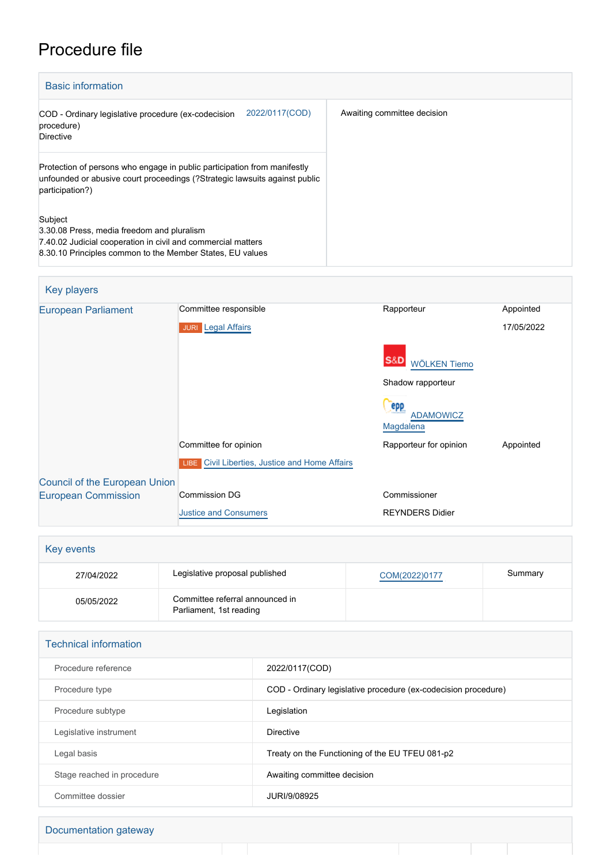## Procedure file

| <b>Basic information</b>                                                                                                                                                           |                             |
|------------------------------------------------------------------------------------------------------------------------------------------------------------------------------------|-----------------------------|
| 2022/0117(COD)<br>COD - Ordinary legislative procedure (ex-codecision<br>procedure)<br><b>Directive</b>                                                                            | Awaiting committee decision |
| Protection of persons who engage in public participation from manifestly<br>unfounded or abusive court proceedings (?Strategic lawsuits against public<br>participation?)          |                             |
| Subject<br>3.30.08 Press, media freedom and pluralism<br>7.40.02 Judicial cooperation in civil and commercial matters<br>8.30.10 Principles common to the Member States, EU values |                             |

| Key players                          |                                                       |                                       |            |
|--------------------------------------|-------------------------------------------------------|---------------------------------------|------------|
| <b>European Parliament</b>           | Committee responsible                                 | Rapporteur                            | Appointed  |
|                                      | <b>JURI</b> Legal Affairs                             |                                       | 17/05/2022 |
|                                      |                                                       | <b>S&amp;D</b><br><b>WÖLKEN Tiemo</b> |            |
|                                      |                                                       | Shadow rapporteur                     |            |
|                                      |                                                       | epp                                   |            |
|                                      |                                                       | <b>ADAMOWICZ</b><br>Magdalena         |            |
|                                      | Committee for opinion                                 | Rapporteur for opinion                | Appointed  |
|                                      | <b>LIBE</b> Civil Liberties, Justice and Home Affairs |                                       |            |
| <b>Council of the European Union</b> |                                                       |                                       |            |
| <b>European Commission</b>           | <b>Commission DG</b>                                  | Commissioner                          |            |
|                                      | <b>Justice and Consumers</b>                          | <b>REYNDERS Didier</b>                |            |

| Key events |                                                            |               |         |
|------------|------------------------------------------------------------|---------------|---------|
| 27/04/2022 | Legislative proposal published                             | COM(2022)0177 | Summary |
| 05/05/2022 | Committee referral announced in<br>Parliament, 1st reading |               |         |

| <b>Technical information</b> |                                                                |  |
|------------------------------|----------------------------------------------------------------|--|
| Procedure reference          | 2022/0117(COD)                                                 |  |
| Procedure type               | COD - Ordinary legislative procedure (ex-codecision procedure) |  |
| Procedure subtype            | Legislation                                                    |  |
| Legislative instrument       | <b>Directive</b>                                               |  |
| Legal basis                  | Treaty on the Functioning of the EU TFEU 081-p2                |  |
| Stage reached in procedure   | Awaiting committee decision                                    |  |
| Committee dossier            | JURI/9/08925                                                   |  |

×

L

ı

Documentation gateway